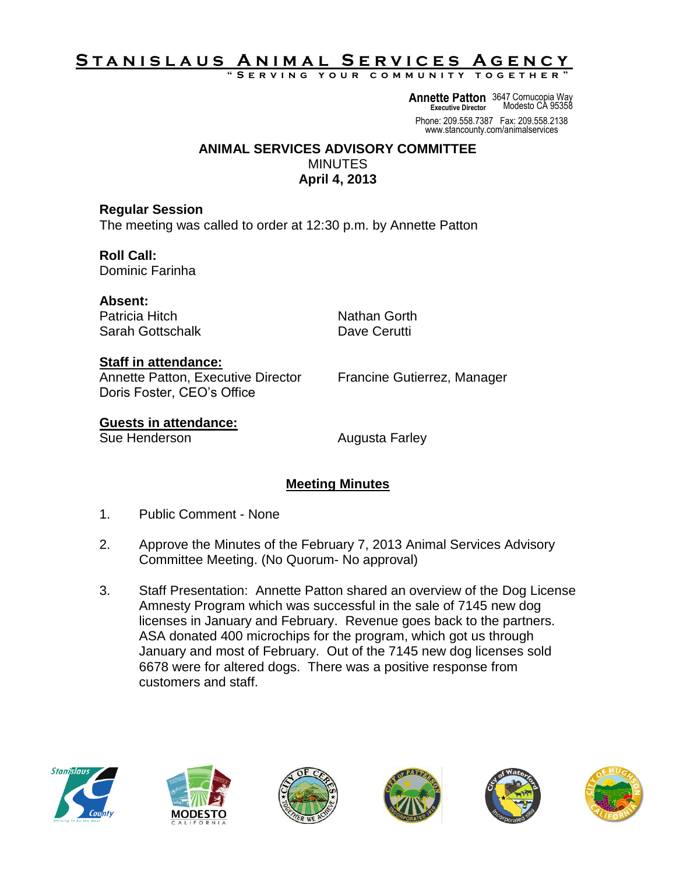# S T A N <u>I S L A U S A N I M A L SERVICES A GENCY</u>

**" S e r v i n g y o u r c o m m u n i t y t o g e t h e r "**

**Annette Patton** 3647 Cornucopia Way **Executive Director** Modesto CA 95358

Phone: 209.558.7387 Fax: 209.558.2138 www.stancounty.com/animalservices

### **ANIMAL SERVICES ADVISORY COMMITTEE MINUTES April 4, 2013**

**Regular Session** The meeting was called to order at 12:30 p.m. by Annette Patton

**Roll Call:** Dominic Farinha

**Absent:** Patricia Hitch Nathan Gorth Sarah Gottschalk Dave Cerutti

## **Staff in attendance:**

Annette Patton, Executive Director Francine Gutierrez, Manager Doris Foster, CEO's Office

# **Guests in attendance:**

Sue Henderson **Augusta Farley** 

## **Meeting Minutes**

- 1. Public Comment None
- 2. Approve the Minutes of the February 7, 2013 Animal Services Advisory Committee Meeting. (No Quorum- No approval)
- 3. Staff Presentation: Annette Patton shared an overview of the Dog License Amnesty Program which was successful in the sale of 7145 new dog licenses in January and February. Revenue goes back to the partners. ASA donated 400 microchips for the program, which got us through January and most of February. Out of the 7145 new dog licenses sold 6678 were for altered dogs. There was a positive response from customers and staff.











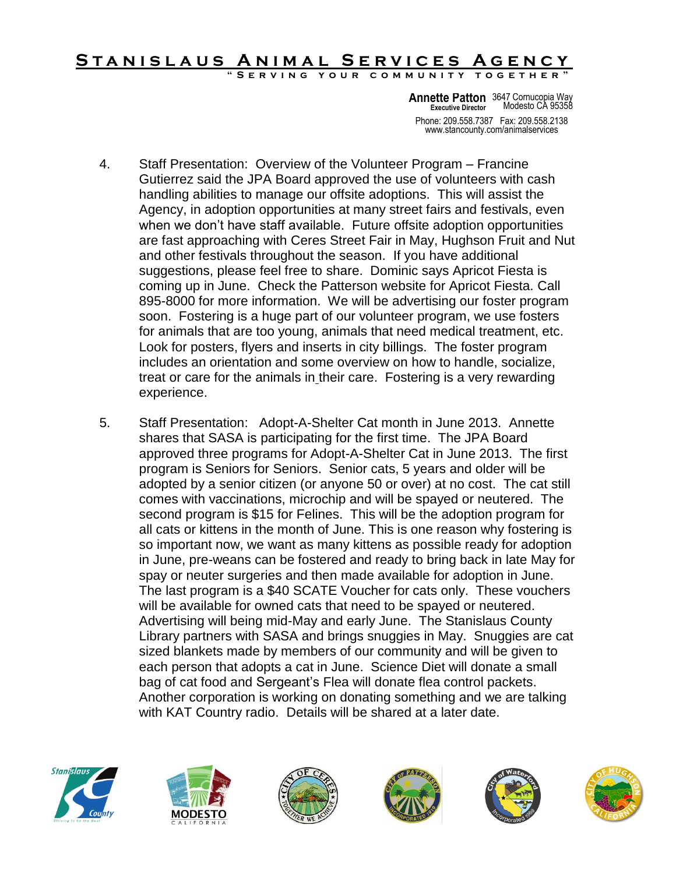#### STANISLAUS ANIMAL SERVICES AGENCY **SERVING YOUR COMMUNITY TOGETHER**

Phone: 209.558.7387 Fax: 209.558.2138 www.stancounty.com/animalservices **Annette Patton** 3647 Cornucopia Way **Executive Director** Modesto CA 95358

- 4. Staff Presentation: Overview of the Volunteer Program Francine Gutierrez said the JPA Board approved the use of volunteers with cash handling abilities to manage our offsite adoptions. This will assist the Agency, in adoption opportunities at many street fairs and festivals, even when we don't have staff available. Future offsite adoption opportunities are fast approaching with Ceres Street Fair in May, Hughson Fruit and Nut and other festivals throughout the season. If you have additional suggestions, please feel free to share. Dominic says Apricot Fiesta is coming up in June. Check the Patterson website for Apricot Fiesta. Call 895-8000 for more information. We will be advertising our foster program soon. Fostering is a huge part of our volunteer program, we use fosters for animals that are too young, animals that need medical treatment, etc. Look for posters, flyers and inserts in city billings. The foster program includes an orientation and some overview on how to handle, socialize, treat or care for the animals in their care. Fostering is a very rewarding experience.
- 5. Staff Presentation: Adopt-A-Shelter Cat month in June 2013. Annette shares that SASA is participating for the first time. The JPA Board approved three programs for Adopt-A-Shelter Cat in June 2013. The first program is Seniors for Seniors. Senior cats, 5 years and older will be adopted by a senior citizen (or anyone 50 or over) at no cost. The cat still comes with vaccinations, microchip and will be spayed or neutered. The second program is \$15 for Felines. This will be the adoption program for all cats or kittens in the month of June. This is one reason why fostering is so important now, we want as many kittens as possible ready for adoption in June, pre-weans can be fostered and ready to bring back in late May for spay or neuter surgeries and then made available for adoption in June. The last program is a \$40 SCATE Voucher for cats only. These vouchers will be available for owned cats that need to be spayed or neutered. Advertising will being mid-May and early June. The Stanislaus County Library partners with SASA and brings snuggies in May. Snuggies are cat sized blankets made by members of our community and will be given to each person that adopts a cat in June. Science Diet will donate a small bag of cat food and Sergeant's Flea will donate flea control packets. Another corporation is working on donating something and we are talking with KAT Country radio. Details will be shared at a later date.